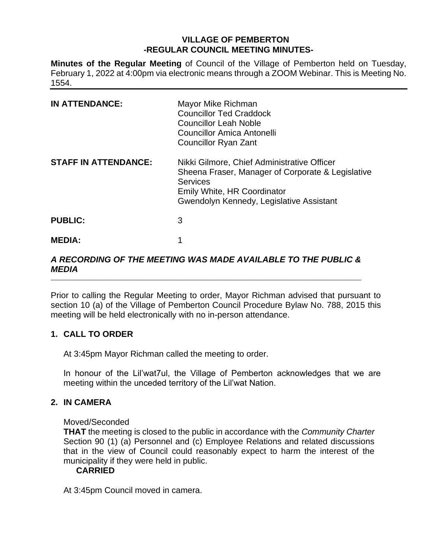# **VILLAGE OF PEMBERTON -REGULAR COUNCIL MEETING MINUTES-**

**Minutes of the Regular Meeting** of Council of the Village of Pemberton held on Tuesday, February 1, 2022 at 4:00pm via electronic means through a ZOOM Webinar. This is Meeting No. 1554.

| <b>IN ATTENDANCE:</b>       | Mayor Mike Richman<br><b>Councillor Ted Craddock</b><br><b>Councillor Leah Noble</b><br>Councillor Amica Antonelli<br><b>Councillor Ryan Zant</b>                                              |
|-----------------------------|------------------------------------------------------------------------------------------------------------------------------------------------------------------------------------------------|
| <b>STAFF IN ATTENDANCE:</b> | Nikki Gilmore, Chief Administrative Officer<br>Sheena Fraser, Manager of Corporate & Legislative<br><b>Services</b><br>Emily White, HR Coordinator<br>Gwendolyn Kennedy, Legislative Assistant |
| <b>PUBLIC:</b>              | 3                                                                                                                                                                                              |
| <b>MEDIA:</b>               | 1                                                                                                                                                                                              |

#### *A RECORDING OF THE MEETING WAS MADE AVAILABLE TO THE PUBLIC & MEDIA* \_\_\_\_\_\_\_\_\_\_\_\_\_\_\_\_\_\_\_\_\_\_\_\_\_\_\_\_\_\_\_\_\_\_\_\_\_\_\_\_\_\_\_\_\_\_\_\_\_\_\_\_\_\_\_\_\_\_\_\_\_\_\_\_\_\_\_\_\_\_\_\_\_\_\_\_\_\_\_\_\_\_\_\_\_\_\_\_\_\_\_\_\_\_\_\_\_\_\_

Prior to calling the Regular Meeting to order, Mayor Richman advised that pursuant to section 10 (a) of the Village of Pemberton Council Procedure Bylaw No. 788, 2015 this meeting will be held electronically with no in-person attendance.

# **1. CALL TO ORDER**

At 3:45pm Mayor Richman called the meeting to order.

In honour of the Lil'wat7ul, the Village of Pemberton acknowledges that we are meeting within the unceded territory of the Lil'wat Nation.

## **2. IN CAMERA**

Moved/Seconded

**THAT** the meeting is closed to the public in accordance with the *Community Charter* Section 90 (1) (a) Personnel and (c) Employee Relations and related discussions that in the view of Council could reasonably expect to harm the interest of the municipality if they were held in public.

## **CARRIED**

At 3:45pm Council moved in camera.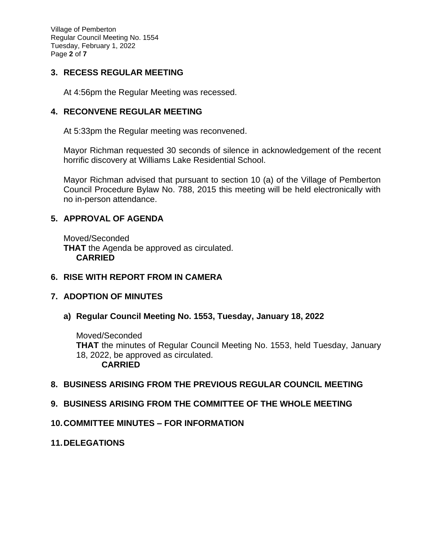Village of Pemberton Regular Council Meeting No. 1554 Tuesday, February 1, 2022 Page **2** of **7**

# **3. RECESS REGULAR MEETING**

At 4:56pm the Regular Meeting was recessed.

## **4. RECONVENE REGULAR MEETING**

At 5:33pm the Regular meeting was reconvened.

Mayor Richman requested 30 seconds of silence in acknowledgement of the recent horrific discovery at Williams Lake Residential School.

Mayor Richman advised that pursuant to section 10 (a) of the Village of Pemberton Council Procedure Bylaw No. 788, 2015 this meeting will be held electronically with no in-person attendance.

# **5. APPROVAL OF AGENDA**

Moved/Seconded **THAT** the Agenda be approved as circulated. **CARRIED**

#### **6. RISE WITH REPORT FROM IN CAMERA**

## **7. ADOPTION OF MINUTES**

**a) Regular Council Meeting No. 1553, Tuesday, January 18, 2022**

Moved/Seconded **THAT** the minutes of Regular Council Meeting No. 1553, held Tuesday, January 18, 2022, be approved as circulated. **CARRIED**

## **8. BUSINESS ARISING FROM THE PREVIOUS REGULAR COUNCIL MEETING**

## **9. BUSINESS ARISING FROM THE COMMITTEE OF THE WHOLE MEETING**

## **10.COMMITTEE MINUTES – FOR INFORMATION**

# **11.DELEGATIONS**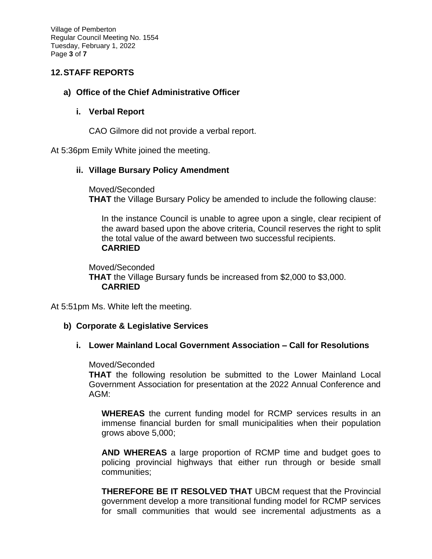Village of Pemberton Regular Council Meeting No. 1554 Tuesday, February 1, 2022 Page **3** of **7**

## **12.STAFF REPORTS**

## **a) Office of the Chief Administrative Officer**

#### **i. Verbal Report**

CAO Gilmore did not provide a verbal report.

At 5:36pm Emily White joined the meeting.

## **ii. Village Bursary Policy Amendment**

Moved/Seconded

**THAT** the Village Bursary Policy be amended to include the following clause:

In the instance Council is unable to agree upon a single, clear recipient of the award based upon the above criteria, Council reserves the right to split the total value of the award between two successful recipients. **CARRIED**

Moved/Seconded **THAT** the Village Bursary funds be increased from \$2,000 to \$3,000. **CARRIED**

At 5:51pm Ms. White left the meeting.

## **b) Corporate & Legislative Services**

## **i. Lower Mainland Local Government Association – Call for Resolutions**

Moved/Seconded

**THAT** the following resolution be submitted to the Lower Mainland Local Government Association for presentation at the 2022 Annual Conference and AGM:

**WHEREAS** the current funding model for RCMP services results in an immense financial burden for small municipalities when their population grows above 5,000;

**AND WHEREAS** a large proportion of RCMP time and budget goes to policing provincial highways that either run through or beside small communities;

**THEREFORE BE IT RESOLVED THAT** UBCM request that the Provincial government develop a more transitional funding model for RCMP services for small communities that would see incremental adjustments as a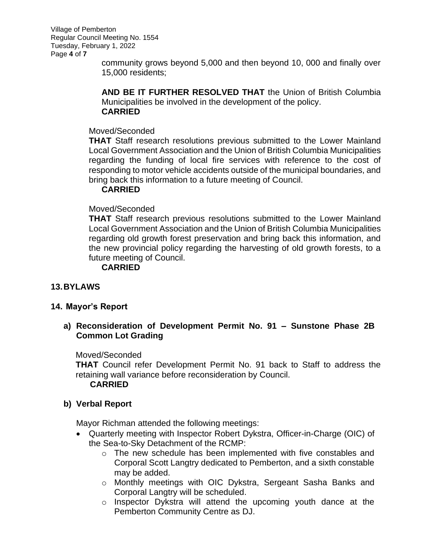community grows beyond 5,000 and then beyond 10, 000 and finally over 15,000 residents;

**AND BE IT FURTHER RESOLVED THAT** the Union of British Columbia Municipalities be involved in the development of the policy. **CARRIED**

Moved/Seconded

**THAT** Staff research resolutions previous submitted to the Lower Mainland Local Government Association and the Union of British Columbia Municipalities regarding the funding of local fire services with reference to the cost of responding to motor vehicle accidents outside of the municipal boundaries, and bring back this information to a future meeting of Council.

## **CARRIED**

## Moved/Seconded

**THAT** Staff research previous resolutions submitted to the Lower Mainland Local Government Association and the Union of British Columbia Municipalities regarding old growth forest preservation and bring back this information, and the new provincial policy regarding the harvesting of old growth forests, to a future meeting of Council.

# **CARRIED**

## **13.BYLAWS**

## **14. Mayor's Report**

# **a) Reconsideration of Development Permit No. 91 – Sunstone Phase 2B Common Lot Grading**

## Moved/Seconded

**THAT** Council refer Development Permit No. 91 back to Staff to address the retaining wall variance before reconsideration by Council.  **CARRIED**

## **b) Verbal Report**

Mayor Richman attended the following meetings:

- Quarterly meeting with Inspector Robert Dykstra, Officer-in-Charge (OIC) of the Sea-to-Sky Detachment of the RCMP:
	- $\circ$  The new schedule has been implemented with five constables and Corporal Scott Langtry dedicated to Pemberton, and a sixth constable may be added.
	- o Monthly meetings with OIC Dykstra, Sergeant Sasha Banks and Corporal Langtry will be scheduled.
	- o Inspector Dykstra will attend the upcoming youth dance at the Pemberton Community Centre as DJ.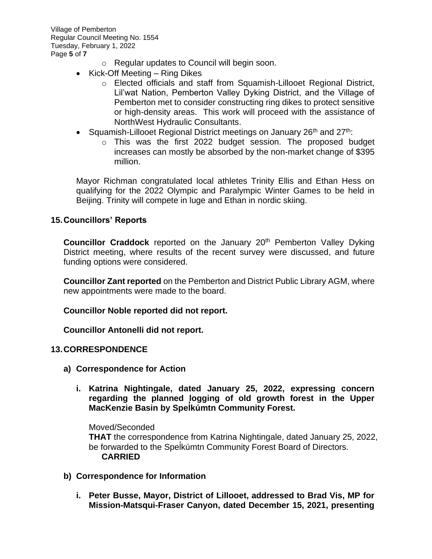Village of Pemberton Regular Council Meeting No. 1554 Tuesday, February 1, 2022 Page **5** of **7**

- o Regular updates to Council will begin soon.
- Kick-Off Meeting Ring Dikes
	- o Elected officials and staff from Squamish-Lillooet Regional District, Lil'wat Nation, Pemberton Valley Dyking District, and the Village of Pemberton met to consider constructing ring dikes to protect sensitive or high-density areas. This work will proceed with the assistance of NorthWest Hydraulic Consultants.
- Squamish-Lillooet Regional District meetings on January  $26<sup>th</sup>$  and  $27<sup>th</sup>$ .
	- o This was the first 2022 budget session. The proposed budget increases can mostly be absorbed by the non-market change of \$395 million.

Mayor Richman congratulated local athletes Trinity Ellis and Ethan Hess on qualifying for the 2022 Olympic and Paralympic Winter Games to be held in Beijing. Trinity will compete in luge and Ethan in nordic skiing.

#### **15.Councillors' Reports**

**Councillor Craddock** reported on the January 20<sup>th</sup> Pemberton Valley Dyking District meeting, where results of the recent survey were discussed, and future funding options were considered.

**Councillor Zant reported** on the Pemberton and District Public Library AGM, where new appointments were made to the board.

**Councillor Noble reported did not report.**

**Councillor Antonelli did not report.**

#### **13.CORRESPONDENCE**

- **a) Correspondence for Action**
	- **i. Katrina Nightingale, dated January 25, 2022, expressing concern regarding the planned logging of old growth forest in the Upper MacKenzie Basin by Spel ̓kúmtn Community Forest.**

Moved/Seconded **THAT** the correspondence from Katrina Nightingale, dated January 25, 2022, be forwarded to the Spelkúmtn Community Forest Board of Directors. **CARRIED**

- **b) Correspondence for Information**
	- **i. Peter Busse, Mayor, District of Lillooet, addressed to Brad Vis, MP for Mission-Matsqui-Fraser Canyon, dated December 15, 2021, presenting**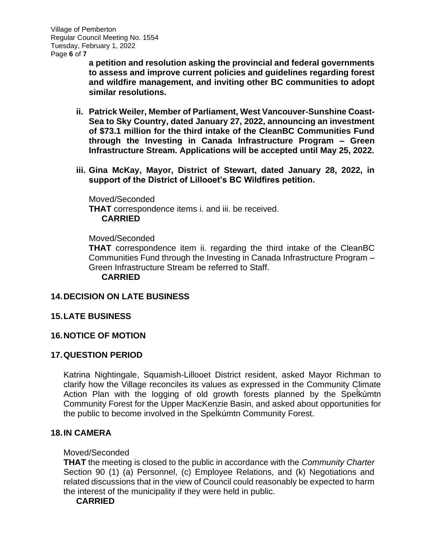**a petition and resolution asking the provincial and federal governments to assess and improve current policies and guidelines regarding forest and wildfire management, and inviting other BC communities to adopt similar resolutions.**

- **ii. Patrick Weiler, Member of Parliament, West Vancouver-Sunshine Coast-Sea to Sky Country, dated January 27, 2022, announcing an investment of \$73.1 million for the third intake of the CleanBC Communities Fund through the Investing in Canada Infrastructure Program – Green Infrastructure Stream. Applications will be accepted until May 25, 2022.**
- **iii. Gina McKay, Mayor, District of Stewart, dated January 28, 2022, in support of the District of Lillooet's BC Wildfires petition.**

Moved/Seconded **THAT** correspondence items i. and iii. be received. **CARRIED**

Moved/Seconded

**THAT** correspondence item ii. regarding the third intake of the CleanBC Communities Fund through the Investing in Canada Infrastructure Program – Green Infrastructure Stream be referred to Staff.

**CARRIED**

## **14.DECISION ON LATE BUSINESS**

## **15.LATE BUSINESS**

## **16.NOTICE OF MOTION**

## **17.QUESTION PERIOD**

Katrina Nightingale, Squamish-Lillooet District resident, asked Mayor Richman to clarify how the Village reconciles its values as expressed in the Community Climate Action Plan with the logging of old growth forests planned by the Spelkumtn Community Forest for the Upper MacKenzie Basin, and asked about opportunities for the public to become involved in the Spel ̓kúmtn Community Forest.

#### **18.IN CAMERA**

#### Moved/Seconded

**THAT** the meeting is closed to the public in accordance with the *Community Charter* Section 90 (1) (a) Personnel, (c) Employee Relations, and (k) Negotiations and related discussions that in the view of Council could reasonably be expected to harm the interest of the municipality if they were held in public.

## **CARRIED**